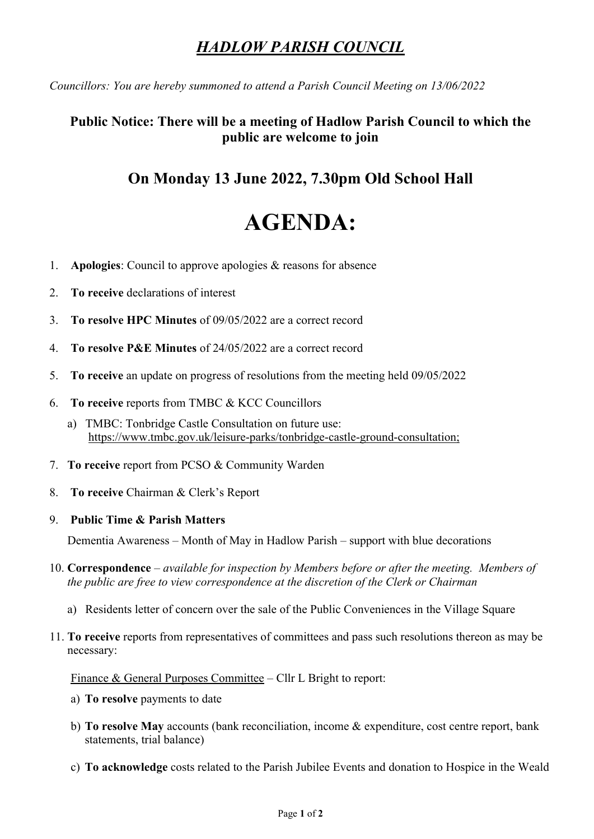## *HADLOW PARISH COUNCIL*

*Councillors: You are hereby summoned to attend a Parish Council Meeting on 13/06/2022*

## **Public Notice: There will be a meeting of Hadlow Parish Council to which the public are welcome to join**

## **On Monday 13 June 2022, 7.30pm Old School Hall**

# **AGENDA:**

- 1. **Apologies**: Council to approve apologies & reasons for absence
- 2. **To receive** declarations of interest
- 3. **To resolve HPC Minutes** of 09/05/2022 are a correct record
- 4. **To resolve P&E Minutes** of 24/05/2022 are a correct record
- 5. **To receive** an update on progress of resolutions from the meeting held 09/05/2022
- 6. **To receive** reports from TMBC & KCC Councillors
	- a) TMBC: Tonbridge Castle Consultation on future use: [https://www.tmbc.gov.uk/leisure-parks/tonbridge-castle-ground-consultation;](https://www.tmbc.gov.uk/leisure-parks/tonbridge-castle-ground-consultation)
- 7. **To receive** report from PCSO & Community Warden
- 8. **To receive** Chairman & Clerk's Report

#### 9. **Public Time & Parish Matters**

Dementia Awareness – Month of May in Hadlow Parish – support with blue decorations

- 10. **Correspondence** *available for inspection by Members before or after the meeting. Members of the public are free to view correspondence at the discretion of the Clerk or Chairman*
	- a) Residents letter of concern over the sale of the Public Conveniences in the Village Square
- 11. **To receive** reports from representatives of committees and pass such resolutions thereon as may be necessary:

Finance & General Purposes Committee – Cllr L Bright to report:

- a) **To resolve** payments to date
- b) **To resolve May** accounts (bank reconciliation, income & expenditure, cost centre report, bank statements, trial balance)
- c) **To acknowledge** costs related to the Parish Jubilee Events and donation to Hospice in the Weald